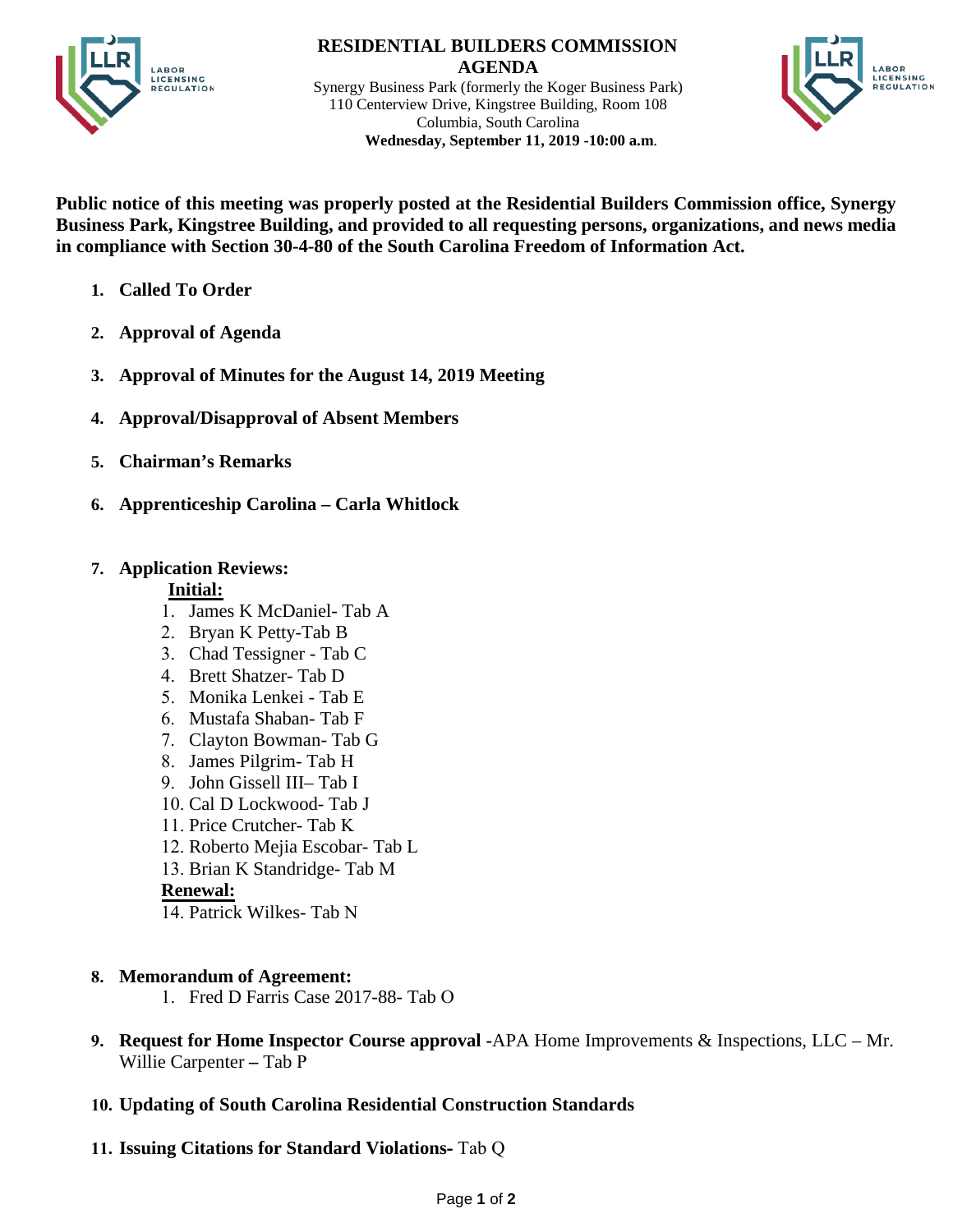

 **RESIDENTIAL BUILDERS COMMISSION AGENDA** Synergy Business Park (formerly the Koger Business Park) 110 Centerview Drive, Kingstree Building, Room 108 Columbia, South Carolina

 **Wednesday, September 11, 2019 -10:00 a.m**.



**Public notice of this meeting was properly posted at the Residential Builders Commission office, Synergy Business Park, Kingstree Building, and provided to all requesting persons, organizations, and news media in compliance with Section 30-4-80 of the South Carolina Freedom of Information Act.** 

- **1. Called To Order**
- **2. Approval of Agenda**
- **3. Approval of Minutes for the August 14, 2019 Meeting**
- **4. Approval/Disapproval of Absent Members**
- **5. Chairman's Remarks**
- **6. Apprenticeship Carolina Carla Whitlock**

# **7. Application Reviews:**

## **Initial:**

- 1. James K McDaniel- Tab A
- 2. Bryan K Petty-Tab B
- 3. Chad Tessigner Tab C
- 4. Brett Shatzer- Tab D
- 5. Monika Lenkei Tab E
- 6. Mustafa Shaban- Tab F
- 7. Clayton Bowman- Tab G
- 8. James Pilgrim- Tab H
- 9. John Gissell III– Tab I
- 10. Cal D Lockwood- Tab J
- 11. Price Crutcher- Tab K
- 12. Roberto Mejia Escobar- Tab L
- 13. Brian K Standridge- Tab M

## **Renewal:**

14. Patrick Wilkes- Tab N

# **8. Memorandum of Agreement:**

- 1. Fred D Farris Case 2017-88- Tab O
- **9. Request for Home Inspector Course approval -**APA Home Improvements & Inspections, LLC Mr. Willie Carpenter **–** Tab P
- **10. Updating of South Carolina Residential Construction Standards**
- **11. Issuing Citations for Standard Violations** Tab Q